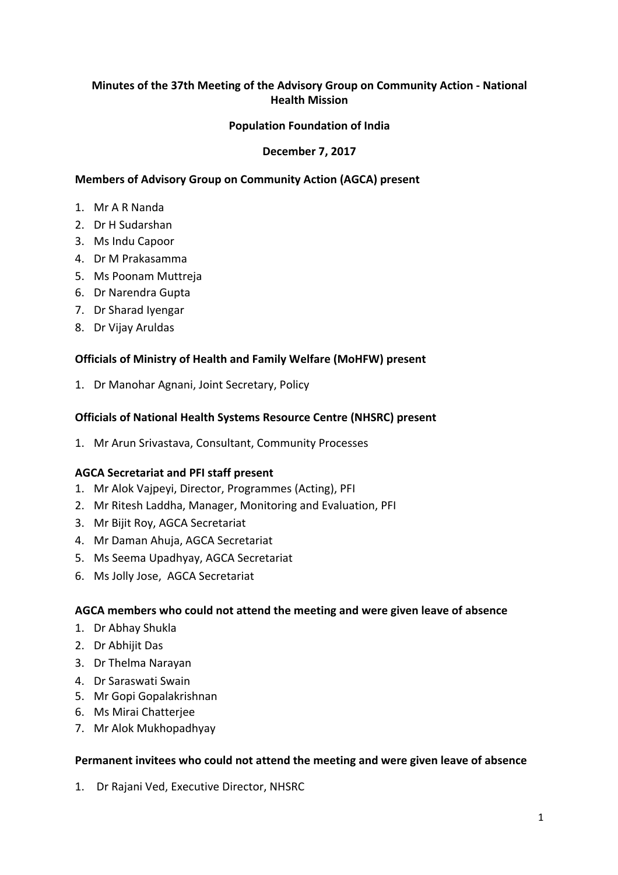# **Minutes of the 37th Meeting of the Advisory Group on Community Action - National Health Mission**

## **Population Foundation of India**

### **December 7, 2017**

### **Members of Advisory Group on Community Action (AGCA) present**

- 1. Mr A R Nanda
- 2. Dr H Sudarshan
- 3. Ms Indu Capoor
- 4. Dr M Prakasamma
- 5. Ms Poonam Muttreja
- 6. Dr Narendra Gupta
- 7. Dr Sharad Iyengar
- 8. Dr Vijay Aruldas

### **Officials of Ministry of Health and Family Welfare (MoHFW) present**

1. Dr Manohar Agnani, Joint Secretary, Policy

#### **Officials of National Health Systems Resource Centre (NHSRC) present**

1. Mr Arun Srivastava, Consultant, Community Processes

#### **AGCA Secretariat and PFI staff present**

- 1. Mr Alok Vajpeyi, Director, Programmes (Acting), PFI
- 2. Mr Ritesh Laddha, Manager, Monitoring and Evaluation, PFI
- 3. Mr Bijit Roy, AGCA Secretariat
- 4. Mr Daman Ahuja, AGCA Secretariat
- 5. Ms Seema Upadhyay, AGCA Secretariat
- 6. Ms Jolly Jose, AGCA Secretariat

#### AGCA members who could not attend the meeting and were given leave of absence

- 1. Dr Abhay Shukla
- 2. Dr Abhijit Das
- 3. Dr Thelma Narayan
- 4. Dr Saraswati Swain
- 5. Mr Gopi Gopalakrishnan
- 6. Ms Mirai Chatterjee
- 7. Mr Alok Mukhopadhyay

#### Permanent invitees who could not attend the meeting and were given leave of absence

1. Dr Rajani Ved, Executive Director, NHSRC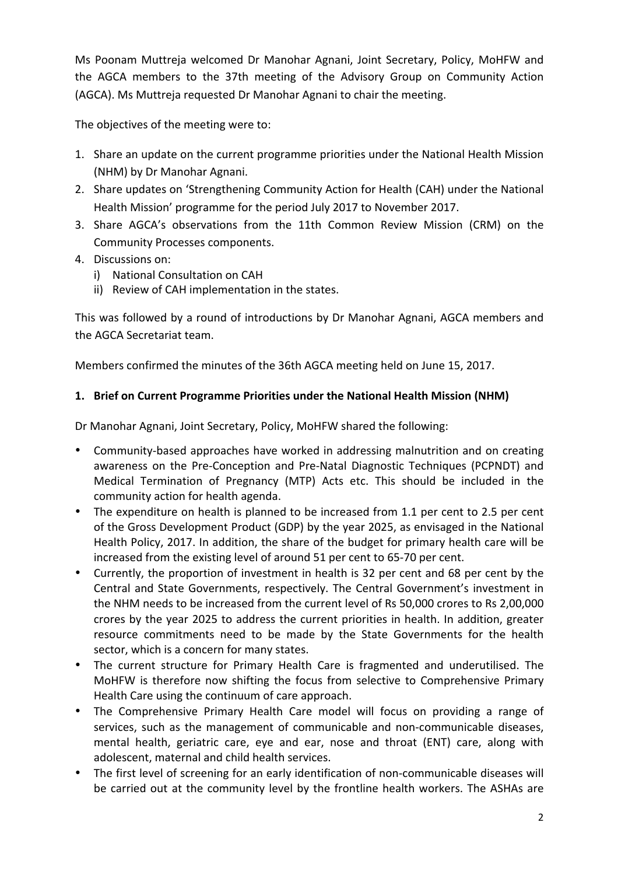Ms Poonam Muttreja welcomed Dr Manohar Agnani, Joint Secretary, Policy, MoHFW and the AGCA members to the 37th meeting of the Advisory Group on Community Action (AGCA). Ms Muttreja requested Dr Manohar Agnani to chair the meeting.

The objectives of the meeting were to:

- 1. Share an update on the current programme priorities under the National Health Mission (NHM) by Dr Manohar Agnani.
- 2. Share updates on 'Strengthening Community Action for Health (CAH) under the National Health Mission' programme for the period July 2017 to November 2017.
- 3. Share AGCA's observations from the 11th Common Review Mission (CRM) on the Community Processes components.
- 4. Discussions on:
	- i) National Consultation on CAH
	- ii) Review of CAH implementation in the states.

This was followed by a round of introductions by Dr Manohar Agnani, AGCA members and the AGCA Secretariat team.

Members confirmed the minutes of the 36th AGCA meeting held on June 15, 2017.

# 1. Brief on Current Programme Priorities under the National Health Mission (NHM)

Dr Manohar Agnani, Joint Secretary, Policy, MoHFW shared the following:

- Community-based approaches have worked in addressing malnutrition and on creating awareness on the Pre-Conception and Pre-Natal Diagnostic Techniques (PCPNDT) and Medical Termination of Pregnancy (MTP) Acts etc. This should be included in the community action for health agenda.
- The expenditure on health is planned to be increased from 1.1 per cent to 2.5 per cent of the Gross Development Product (GDP) by the year 2025, as envisaged in the National Health Policy, 2017. In addition, the share of the budget for primary health care will be increased from the existing level of around 51 per cent to 65-70 per cent.
- Currently, the proportion of investment in health is 32 per cent and 68 per cent by the Central and State Governments, respectively. The Central Government's investment in the NHM needs to be increased from the current level of Rs 50,000 crores to Rs 2,00,000 crores by the year 2025 to address the current priorities in health. In addition, greater resource commitments need to be made by the State Governments for the health sector, which is a concern for many states.
- The current structure for Primary Health Care is fragmented and underutilised. The MoHFW is therefore now shifting the focus from selective to Comprehensive Primary Health Care using the continuum of care approach.
- The Comprehensive Primary Health Care model will focus on providing a range of services, such as the management of communicable and non-communicable diseases, mental health, geriatric care, eye and ear, nose and throat (ENT) care, along with adolescent, maternal and child health services.
- The first level of screening for an early identification of non-communicable diseases will be carried out at the community level by the frontline health workers. The ASHAs are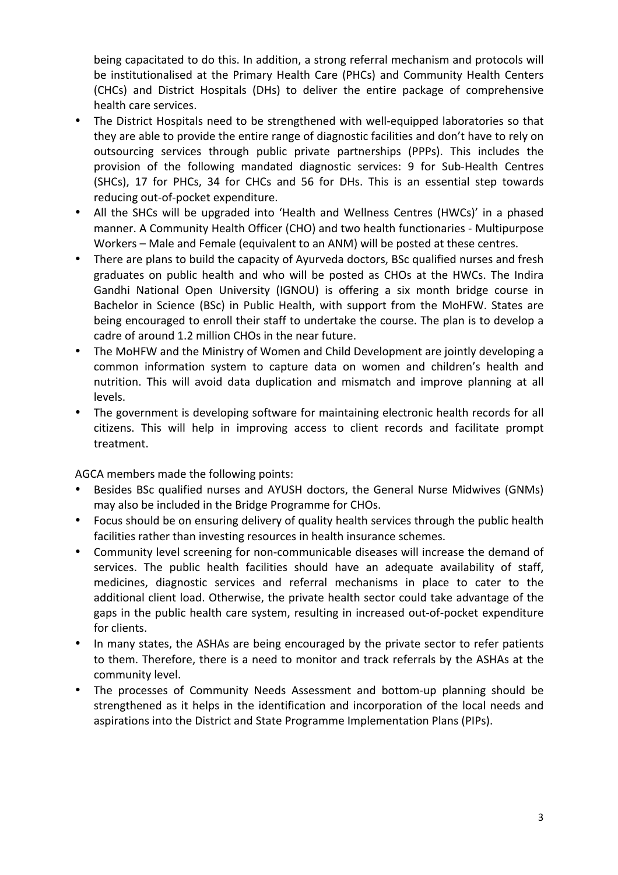being capacitated to do this. In addition, a strong referral mechanism and protocols will be institutionalised at the Primary Health Care (PHCs) and Community Health Centers (CHCs) and District Hospitals (DHs) to deliver the entire package of comprehensive health care services.

- The District Hospitals need to be strengthened with well-equipped laboratories so that they are able to provide the entire range of diagnostic facilities and don't have to rely on outsourcing services through public private partnerships (PPPs). This includes the provision of the following mandated diagnostic services: 9 for Sub-Health Centres (SHCs), 17 for PHCs, 34 for CHCs and 56 for DHs. This is an essential step towards reducing out-of-pocket expenditure.
- All the SHCs will be upgraded into 'Health and Wellness Centres (HWCs)' in a phased manner. A Community Health Officer (CHO) and two health functionaries - Multipurpose Workers – Male and Female (equivalent to an ANM) will be posted at these centres.
- There are plans to build the capacity of Ayurveda doctors, BSc qualified nurses and fresh graduates on public health and who will be posted as CHOs at the HWCs. The Indira Gandhi National Open University (IGNOU) is offering a six month bridge course in Bachelor in Science (BSc) in Public Health, with support from the MoHFW. States are being encouraged to enroll their staff to undertake the course. The plan is to develop a cadre of around 1.2 million CHOs in the near future.
- The MoHFW and the Ministry of Women and Child Development are jointly developing a common information system to capture data on women and children's health and nutrition. This will avoid data duplication and mismatch and improve planning at all levels.
- The government is developing software for maintaining electronic health records for all citizens. This will help in improving access to client records and facilitate prompt treatment.

AGCA members made the following points:

- Besides BSc qualified nurses and AYUSH doctors, the General Nurse Midwives (GNMs) may also be included in the Bridge Programme for CHOs.
- Focus should be on ensuring delivery of quality health services through the public health facilities rather than investing resources in health insurance schemes.
- Community level screening for non-communicable diseases will increase the demand of services. The public health facilities should have an adequate availability of staff, medicines, diagnostic services and referral mechanisms in place to cater to the additional client load. Otherwise, the private health sector could take advantage of the gaps in the public health care system, resulting in increased out-of-pocket expenditure for clients.
- In many states, the ASHAs are being encouraged by the private sector to refer patients to them. Therefore, there is a need to monitor and track referrals by the ASHAs at the community level.
- The processes of Community Needs Assessment and bottom-up planning should be strengthened as it helps in the identification and incorporation of the local needs and aspirations into the District and State Programme Implementation Plans (PIPs).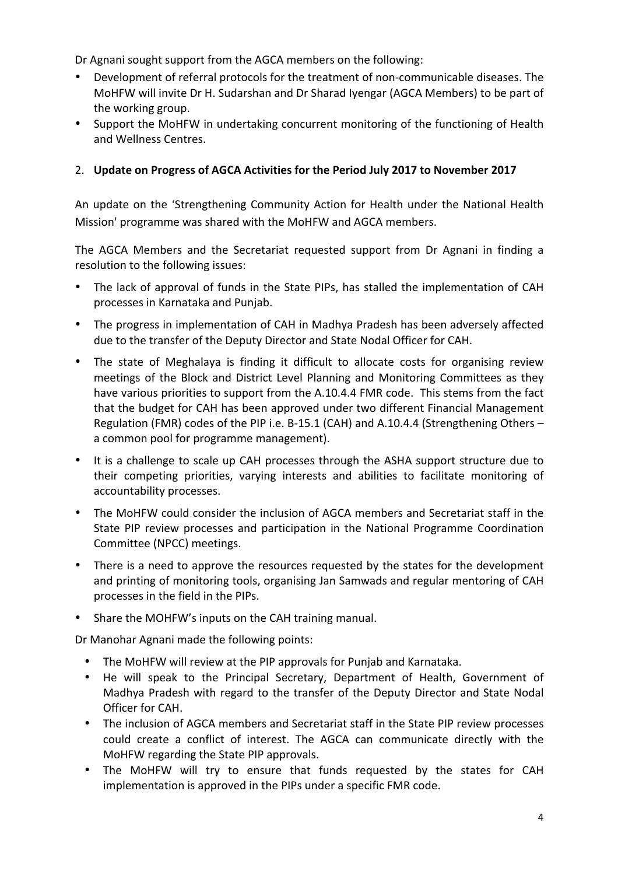Dr Agnani sought support from the AGCA members on the following:

- Development of referral protocols for the treatment of non-communicable diseases. The MoHFW will invite Dr H. Sudarshan and Dr Sharad Iyengar (AGCA Members) to be part of the working group.
- Support the MoHFW in undertaking concurrent monitoring of the functioning of Health and Wellness Centres.

# 2. Update on Progress of AGCA Activities for the Period July 2017 to November 2017

An update on the 'Strengthening Community Action for Health under the National Health Mission' programme was shared with the MoHFW and AGCA members.

The AGCA Members and the Secretariat requested support from Dr Agnani in finding a resolution to the following issues:

- The lack of approval of funds in the State PIPs, has stalled the implementation of CAH processes in Karnataka and Punjab.
- The progress in implementation of CAH in Madhya Pradesh has been adversely affected due to the transfer of the Deputy Director and State Nodal Officer for CAH.
- The state of Meghalaya is finding it difficult to allocate costs for organising review meetings of the Block and District Level Planning and Monitoring Committees as they have various priorities to support from the A.10.4.4 FMR code. This stems from the fact that the budget for CAH has been approved under two different Financial Management Regulation (FMR) codes of the PIP i.e. B-15.1 (CAH) and A.10.4.4 (Strengthening Others – a common pool for programme management).
- It is a challenge to scale up CAH processes through the ASHA support structure due to their competing priorities, varying interests and abilities to facilitate monitoring of accountability processes.
- The MoHFW could consider the inclusion of AGCA members and Secretariat staff in the State PIP review processes and participation in the National Programme Coordination Committee (NPCC) meetings.
- There is a need to approve the resources requested by the states for the development and printing of monitoring tools, organising Jan Samwads and regular mentoring of CAH processes in the field in the PIPs.
- Share the MOHFW's inputs on the CAH training manual.

Dr Manohar Agnani made the following points:

- The MoHFW will review at the PIP approvals for Punjab and Karnataka.
- He will speak to the Principal Secretary, Department of Health, Government of Madhya Pradesh with regard to the transfer of the Deputy Director and State Nodal Officer for CAH.
- The inclusion of AGCA members and Secretariat staff in the State PIP review processes could create a conflict of interest. The AGCA can communicate directly with the MoHFW regarding the State PIP approvals.
- The MoHFW will try to ensure that funds requested by the states for CAH implementation is approved in the PIPs under a specific FMR code.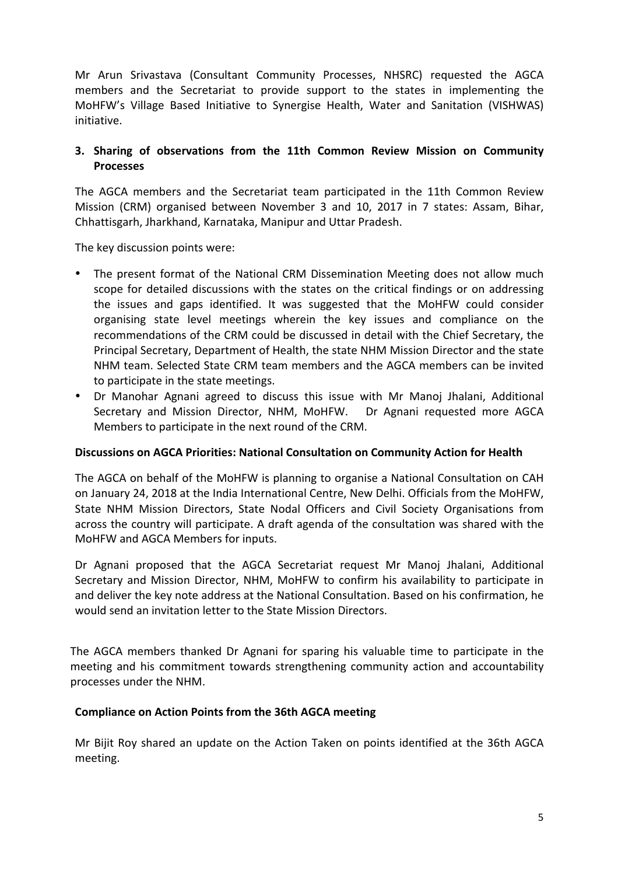Mr Arun Srivastava (Consultant Community Processes, NHSRC) requested the AGCA members and the Secretariat to provide support to the states in implementing the MoHFW's Village Based Initiative to Synergise Health, Water and Sanitation (VISHWAS) initiative.

## **3.** Sharing of observations from the 11th Common Review Mission on Community **Processes**

The AGCA members and the Secretariat team participated in the 11th Common Review Mission (CRM) organised between November 3 and 10, 2017 in 7 states: Assam, Bihar, Chhattisgarh, Jharkhand, Karnataka, Manipur and Uttar Pradesh.

The key discussion points were:

- The present format of the National CRM Dissemination Meeting does not allow much scope for detailed discussions with the states on the critical findings or on addressing the issues and gaps identified. It was suggested that the MoHFW could consider organising state level meetings wherein the key issues and compliance on the recommendations of the CRM could be discussed in detail with the Chief Secretary, the Principal Secretary, Department of Health, the state NHM Mission Director and the state NHM team. Selected State CRM team members and the AGCA members can be invited to participate in the state meetings.
- Dr Manohar Agnani agreed to discuss this issue with Mr Manoj Jhalani, Additional Secretary and Mission Director, NHM, MoHFW. Dr Agnani requested more AGCA Members to participate in the next round of the CRM.

#### **Discussions on AGCA Priorities: National Consultation on Community Action for Health**

The AGCA on behalf of the MoHFW is planning to organise a National Consultation on CAH on January 24, 2018 at the India International Centre, New Delhi. Officials from the MoHFW, State NHM Mission Directors, State Nodal Officers and Civil Society Organisations from across the country will participate. A draft agenda of the consultation was shared with the MoHFW and AGCA Members for inputs.

Dr Agnani proposed that the AGCA Secretariat request Mr Manoj Jhalani, Additional Secretary and Mission Director, NHM, MoHFW to confirm his availability to participate in and deliver the key note address at the National Consultation. Based on his confirmation, he would send an invitation letter to the State Mission Directors.

The AGCA members thanked Dr Agnani for sparing his valuable time to participate in the meeting and his commitment towards strengthening community action and accountability processes under the NHM.

## **Compliance on Action Points from the 36th AGCA meeting**

Mr Bijit Roy shared an update on the Action Taken on points identified at the 36th AGCA meeting.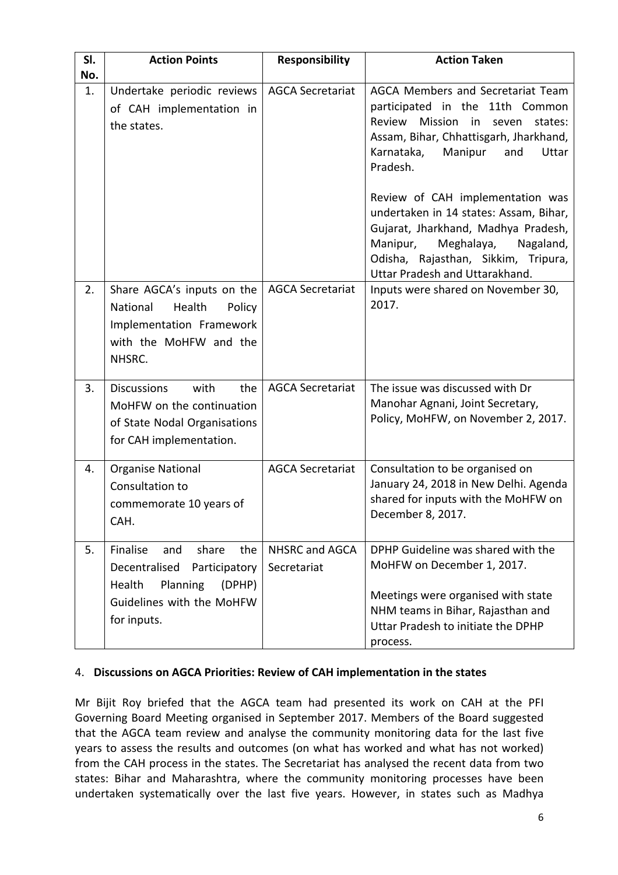| SI.<br>No. | <b>Action Points</b>                                                                                                                          | <b>Responsibility</b>         | <b>Action Taken</b>                                                                                                                                                                                                                                                                                                                                                         |
|------------|-----------------------------------------------------------------------------------------------------------------------------------------------|-------------------------------|-----------------------------------------------------------------------------------------------------------------------------------------------------------------------------------------------------------------------------------------------------------------------------------------------------------------------------------------------------------------------------|
| 1.         | Undertake periodic reviews<br>of CAH implementation in<br>the states.                                                                         | <b>AGCA Secretariat</b>       | AGCA Members and Secretariat Team<br>participated in the 11th Common<br>Review<br>Mission in<br>seven<br>states:<br>Assam, Bihar, Chhattisgarh, Jharkhand,<br>Karnataka,<br>Manipur<br>and<br>Uttar<br>Pradesh.<br>Review of CAH implementation was<br>undertaken in 14 states: Assam, Bihar,<br>Gujarat, Jharkhand, Madhya Pradesh,<br>Manipur,<br>Meghalaya,<br>Nagaland, |
|            |                                                                                                                                               |                               | Odisha, Rajasthan, Sikkim, Tripura,<br>Uttar Pradesh and Uttarakhand.                                                                                                                                                                                                                                                                                                       |
| 2.         | Share AGCA's inputs on the<br>Health<br>National<br>Policy<br>Implementation Framework<br>with the MoHFW and the<br>NHSRC.                    | <b>AGCA Secretariat</b>       | Inputs were shared on November 30,<br>2017.                                                                                                                                                                                                                                                                                                                                 |
| 3.         | <b>Discussions</b><br>with<br>the<br>MoHFW on the continuation<br>of State Nodal Organisations<br>for CAH implementation.                     | <b>AGCA Secretariat</b>       | The issue was discussed with Dr<br>Manohar Agnani, Joint Secretary,<br>Policy, MoHFW, on November 2, 2017.                                                                                                                                                                                                                                                                  |
| 4.         | <b>Organise National</b><br>Consultation to<br>commemorate 10 years of<br>CAH.                                                                | <b>AGCA Secretariat</b>       | Consultation to be organised on<br>January 24, 2018 in New Delhi. Agenda<br>shared for inputs with the MoHFW on<br>December 8, 2017.                                                                                                                                                                                                                                        |
| 5.         | Finalise<br>share<br>the<br>and<br>Decentralised<br>Participatory<br>Planning<br>(DPHP)<br>Health<br>Guidelines with the MoHFW<br>for inputs. | NHSRC and AGCA<br>Secretariat | DPHP Guideline was shared with the<br>MoHFW on December 1, 2017.<br>Meetings were organised with state<br>NHM teams in Bihar, Rajasthan and<br>Uttar Pradesh to initiate the DPHP<br>process.                                                                                                                                                                               |

#### 4. Discussions on AGCA Priorities: Review of CAH implementation in the states

Mr Bijit Roy briefed that the AGCA team had presented its work on CAH at the PFI Governing Board Meeting organised in September 2017. Members of the Board suggested that the AGCA team review and analyse the community monitoring data for the last five years to assess the results and outcomes (on what has worked and what has not worked) from the CAH process in the states. The Secretariat has analysed the recent data from two states: Bihar and Maharashtra, where the community monitoring processes have been undertaken systematically over the last five years. However, in states such as Madhya